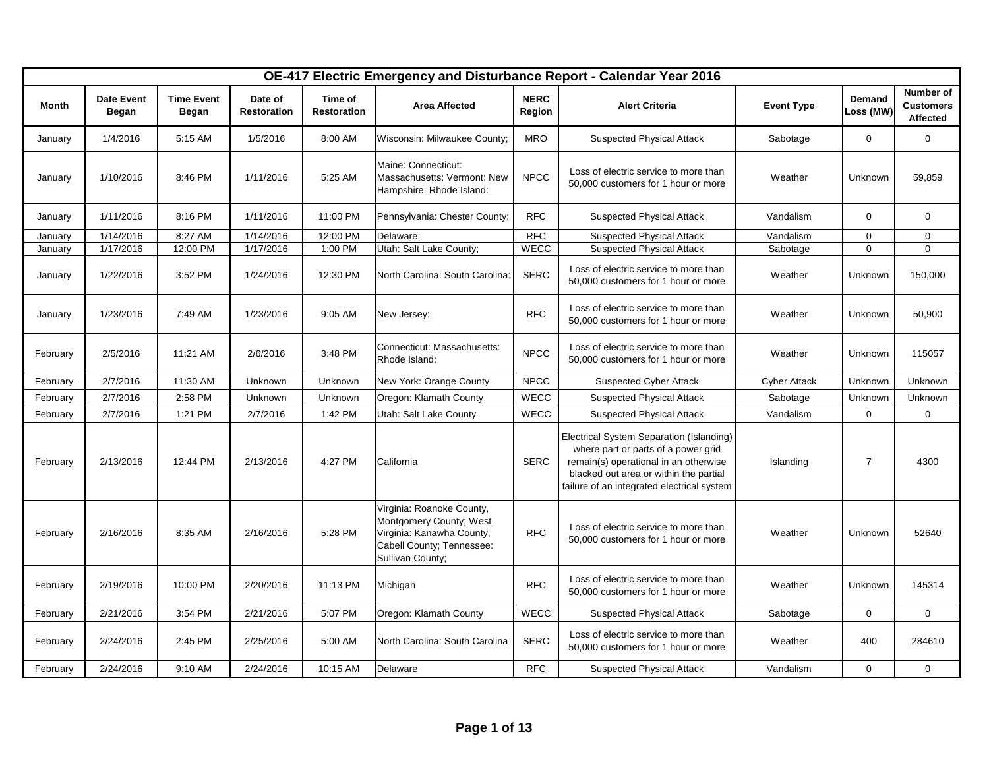|          | OE-417 Electric Emergency and Disturbance Report - Calendar Year 2016<br>Number of |                            |                               |                               |                                                                                                                                    |                       |                                                                                                                                                                                                                  |                     |                     |                              |
|----------|------------------------------------------------------------------------------------|----------------------------|-------------------------------|-------------------------------|------------------------------------------------------------------------------------------------------------------------------------|-----------------------|------------------------------------------------------------------------------------------------------------------------------------------------------------------------------------------------------------------|---------------------|---------------------|------------------------------|
| Month    | <b>Date Event</b><br>Began                                                         | <b>Time Event</b><br>Began | Date of<br><b>Restoration</b> | Time of<br><b>Restoration</b> | <b>Area Affected</b>                                                                                                               | <b>NERC</b><br>Region | <b>Alert Criteria</b>                                                                                                                                                                                            | <b>Event Type</b>   | Demand<br>Loss (MW) | <b>Customers</b><br>Affected |
| January  | 1/4/2016                                                                           | 5:15 AM                    | 1/5/2016                      | 8:00 AM                       | Wisconsin: Milwaukee County;                                                                                                       | <b>MRO</b>            | <b>Suspected Physical Attack</b>                                                                                                                                                                                 | Sabotage            | $\mathbf 0$         | $\mathbf 0$                  |
| January  | 1/10/2016                                                                          | 8:46 PM                    | 1/11/2016                     | 5:25 AM                       | Maine: Connecticut:<br>Massachusetts: Vermont: New<br>Hampshire: Rhode Island:                                                     | <b>NPCC</b>           | Loss of electric service to more than<br>50,000 customers for 1 hour or more                                                                                                                                     | Weather             | Unknown             | 59,859                       |
| January  | 1/11/2016                                                                          | 8:16 PM                    | 1/11/2016                     | 11:00 PM                      | Pennsylvania: Chester County;                                                                                                      | <b>RFC</b>            | <b>Suspected Physical Attack</b>                                                                                                                                                                                 | Vandalism           | $\mathbf 0$         | 0                            |
| January  | 1/14/2016                                                                          | 8:27 AM                    | 1/14/2016                     | 12:00 PM                      | Delaware:                                                                                                                          | <b>RFC</b>            | <b>Suspected Physical Attack</b>                                                                                                                                                                                 | Vandalism           | $\mathbf{0}$        | $\mathbf 0$                  |
| January  | 1/17/2016                                                                          | 12:00 PM                   | 1/17/2016                     | 1:00 PM                       | Utah: Salt Lake County;                                                                                                            | <b>WECC</b>           | <b>Suspected Physical Attack</b>                                                                                                                                                                                 | Sabotage            | 0                   | $\mathbf 0$                  |
| January  | 1/22/2016                                                                          | 3:52 PM                    | 1/24/2016                     | 12:30 PM                      | North Carolina: South Carolina:                                                                                                    | <b>SERC</b>           | Loss of electric service to more than<br>50,000 customers for 1 hour or more                                                                                                                                     | Weather             | Unknown             | 150,000                      |
| January  | 1/23/2016                                                                          | 7:49 AM                    | 1/23/2016                     | 9:05 AM                       | New Jersey:                                                                                                                        | <b>RFC</b>            | Loss of electric service to more than<br>50,000 customers for 1 hour or more                                                                                                                                     | Weather             | Unknown             | 50,900                       |
| February | 2/5/2016                                                                           | 11:21 AM                   | 2/6/2016                      | 3:48 PM                       | Connecticut: Massachusetts:<br>Rhode Island:                                                                                       | <b>NPCC</b>           | Loss of electric service to more than<br>50,000 customers for 1 hour or more                                                                                                                                     | Weather             | Unknown             | 115057                       |
| February | 2/7/2016                                                                           | 11:30 AM                   | Unknown                       | Unknown                       | New York: Orange County                                                                                                            | <b>NPCC</b>           | <b>Suspected Cyber Attack</b>                                                                                                                                                                                    | <b>Cyber Attack</b> | Unknown             | Unknown                      |
| February | 2/7/2016                                                                           | 2:58 PM                    | Unknown                       | Unknown                       | Oregon: Klamath County                                                                                                             | <b>WECC</b>           | <b>Suspected Physical Attack</b>                                                                                                                                                                                 | Sabotage            | Unknown             | Unknown                      |
| February | 2/7/2016                                                                           | 1:21 PM                    | 2/7/2016                      | 1:42 PM                       | Utah: Salt Lake County                                                                                                             | <b>WECC</b>           | <b>Suspected Physical Attack</b>                                                                                                                                                                                 | Vandalism           | $\mathbf 0$         | $\mathbf 0$                  |
| February | 2/13/2016                                                                          | 12:44 PM                   | 2/13/2016                     | 4:27 PM                       | California                                                                                                                         | <b>SERC</b>           | Electrical System Separation (Islanding)<br>where part or parts of a power grid<br>remain(s) operational in an otherwise<br>blacked out area or within the partial<br>failure of an integrated electrical system | Islanding           | $\overline{7}$      | 4300                         |
| February | 2/16/2016                                                                          | 8:35 AM                    | 2/16/2016                     | 5:28 PM                       | Virginia: Roanoke County,<br>Montgomery County; West<br>Virginia: Kanawha County,<br>Cabell County; Tennessee:<br>Sullivan County; | <b>RFC</b>            | Loss of electric service to more than<br>50,000 customers for 1 hour or more                                                                                                                                     | Weather             | Unknown             | 52640                        |
| February | 2/19/2016                                                                          | 10:00 PM                   | 2/20/2016                     | 11:13 PM                      | Michigan                                                                                                                           | <b>RFC</b>            | Loss of electric service to more than<br>50,000 customers for 1 hour or more                                                                                                                                     | Weather             | Unknown             | 145314                       |
| February | 2/21/2016                                                                          | 3:54 PM                    | 2/21/2016                     | 5:07 PM                       | Oregon: Klamath County                                                                                                             | WECC                  | <b>Suspected Physical Attack</b>                                                                                                                                                                                 | Sabotage            | $\mathbf 0$         | $\Omega$                     |
| February | 2/24/2016                                                                          | 2:45 PM                    | 2/25/2016                     | 5:00 AM                       | North Carolina: South Carolina                                                                                                     | <b>SERC</b>           | Loss of electric service to more than<br>50,000 customers for 1 hour or more                                                                                                                                     | Weather             | 400                 | 284610                       |
| February | 2/24/2016                                                                          | 9:10 AM                    | 2/24/2016                     | 10:15 AM                      | Delaware                                                                                                                           | <b>RFC</b>            | <b>Suspected Physical Attack</b>                                                                                                                                                                                 | Vandalism           | $\mathbf 0$         | $\mathbf 0$                  |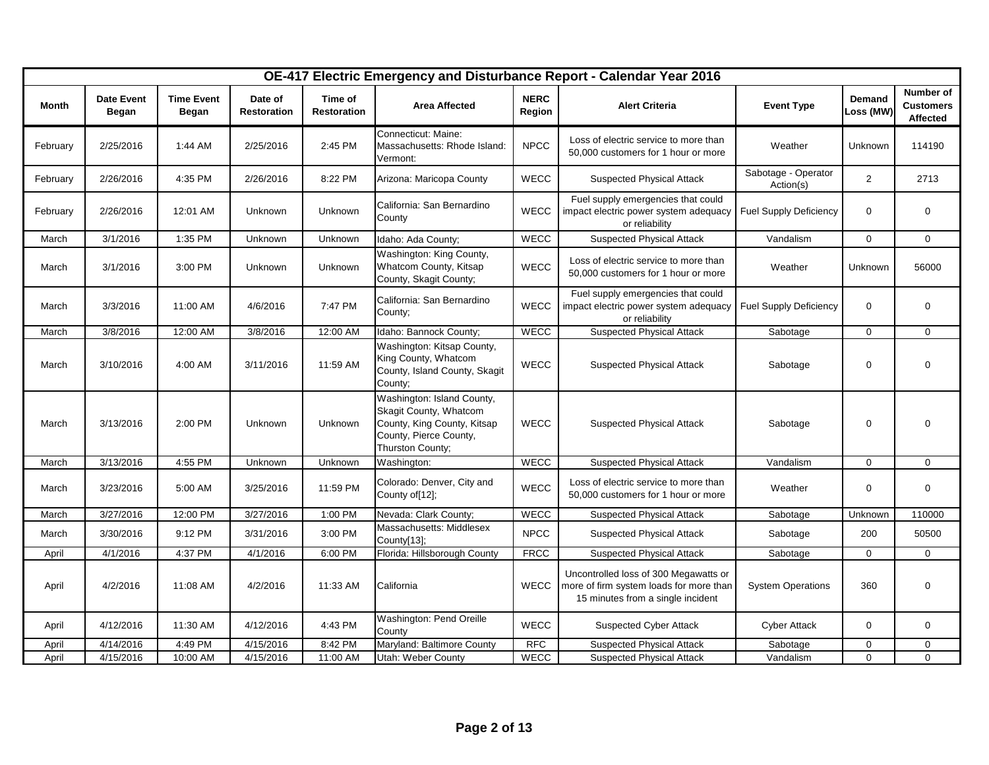|          |                                   |                            |                               |                               |                                                                                                                                   |                       | OE-417 Electric Emergency and Disturbance Report - Calendar Year 2016                                                 |                                  |                     |                                           |
|----------|-----------------------------------|----------------------------|-------------------------------|-------------------------------|-----------------------------------------------------------------------------------------------------------------------------------|-----------------------|-----------------------------------------------------------------------------------------------------------------------|----------------------------------|---------------------|-------------------------------------------|
| Month    | <b>Date Event</b><br><b>Began</b> | <b>Time Event</b><br>Began | Date of<br><b>Restoration</b> | Time of<br><b>Restoration</b> | <b>Area Affected</b>                                                                                                              | <b>NERC</b><br>Region | <b>Alert Criteria</b>                                                                                                 | <b>Event Type</b>                | Demand<br>Loss (MW) | Number of<br><b>Customers</b><br>Affected |
| February | 2/25/2016                         | 1:44 AM                    | 2/25/2016                     | 2:45 PM                       | Connecticut: Maine:<br>Massachusetts: Rhode Island:<br>Vermont:                                                                   | <b>NPCC</b>           | Loss of electric service to more than<br>50,000 customers for 1 hour or more                                          | Weather                          | Unknown             | 114190                                    |
| February | 2/26/2016                         | 4:35 PM                    | 2/26/2016                     | 8:22 PM                       | Arizona: Maricopa County                                                                                                          | <b>WECC</b>           | <b>Suspected Physical Attack</b>                                                                                      | Sabotage - Operator<br>Action(s) | $\overline{2}$      | 2713                                      |
| February | 2/26/2016                         | 12:01 AM                   | Unknown                       | Unknown                       | California: San Bernardino<br>County                                                                                              | <b>WECC</b>           | Fuel supply emergencies that could<br>impact electric power system adequacy<br>or reliability                         | <b>Fuel Supply Deficiency</b>    | $\mathbf 0$         | $\mathbf 0$                               |
| March    | 3/1/2016                          | 1:35 PM                    | Unknown                       | Unknown                       | Idaho: Ada County;                                                                                                                | WECC                  | <b>Suspected Physical Attack</b>                                                                                      | Vandalism                        | $\mathbf 0$         | $\mathbf 0$                               |
| March    | 3/1/2016                          | 3:00 PM                    | Unknown                       | Unknown                       | Washington: King County,<br>Whatcom County, Kitsap<br>County, Skagit County;                                                      | WECC                  | Loss of electric service to more than<br>50,000 customers for 1 hour or more                                          | Weather                          | Unknown             | 56000                                     |
| March    | 3/3/2016                          | 11:00 AM                   | 4/6/2016                      | 7:47 PM                       | California: San Bernardino<br>County;                                                                                             | WECC                  | Fuel supply emergencies that could<br>impact electric power system adequacy<br>or reliability                         | <b>Fuel Supply Deficiency</b>    | $\mathbf 0$         | $\mathbf 0$                               |
| March    | 3/8/2016                          | 12:00 AM                   | 3/8/2016                      | 12:00 AM                      | Idaho: Bannock County;                                                                                                            | <b>WECC</b>           | <b>Suspected Physical Attack</b>                                                                                      | Sabotage                         | $\mathbf 0$         | $\mathbf{0}$                              |
| March    | 3/10/2016                         | 4:00 AM                    | 3/11/2016                     | 11:59 AM                      | Washington: Kitsap County,<br>King County, Whatcom<br>County, Island County, Skagit<br>County;                                    | WECC                  | <b>Suspected Physical Attack</b>                                                                                      | Sabotage                         | $\mathbf 0$         | $\mathbf 0$                               |
| March    | 3/13/2016                         | 2:00 PM                    | Unknown                       | Unknown                       | Washington: Island County,<br>Skagit County, Whatcom<br>County, King County, Kitsap<br>County, Pierce County,<br>Thurston County; | <b>WECC</b>           | <b>Suspected Physical Attack</b>                                                                                      | Sabotage                         | $\mathbf 0$         | $\mathbf 0$                               |
| March    | 3/13/2016                         | 4:55 PM                    | Unknown                       | Unknown                       | Washington:                                                                                                                       | WECC                  | <b>Suspected Physical Attack</b>                                                                                      | Vandalism                        | $\mathbf 0$         | $\mathbf 0$                               |
| March    | 3/23/2016                         | 5:00 AM                    | 3/25/2016                     | 11:59 PM                      | Colorado: Denver, City and<br>County of[12];                                                                                      | WECC                  | Loss of electric service to more than<br>50,000 customers for 1 hour or more                                          | Weather                          | $\mathbf 0$         | $\mathbf 0$                               |
| March    | 3/27/2016                         | 12:00 PM                   | 3/27/2016                     | 1:00 PM                       | Nevada: Clark County;                                                                                                             | <b>WECC</b>           | <b>Suspected Physical Attack</b>                                                                                      | Sabotage                         | Unknown             | 110000                                    |
| March    | 3/30/2016                         | 9:12 PM                    | 3/31/2016                     | 3:00 PM                       | Massachusetts: Middlesex<br>County[13];                                                                                           | <b>NPCC</b>           | <b>Suspected Physical Attack</b>                                                                                      | Sabotage                         | 200                 | 50500                                     |
| April    | 4/1/2016                          | 4:37 PM                    | 4/1/2016                      | 6:00 PM                       | Florida: Hillsborough County                                                                                                      | <b>FRCC</b>           | <b>Suspected Physical Attack</b>                                                                                      | Sabotage                         | $\mathbf 0$         | $\mathbf 0$                               |
| April    | 4/2/2016                          | 11:08 AM                   | 4/2/2016                      | 11:33 AM                      | California                                                                                                                        | <b>WECC</b>           | Uncontrolled loss of 300 Megawatts or<br>more of firm system loads for more than<br>15 minutes from a single incident | <b>System Operations</b>         | 360                 | $\mathbf 0$                               |
| April    | 4/12/2016                         | 11:30 AM                   | 4/12/2016                     | 4:43 PM                       | Washington: Pend Oreille<br>County                                                                                                | WECC                  | Suspected Cyber Attack                                                                                                | <b>Cyber Attack</b>              | $\mathbf 0$         | $\mathbf 0$                               |
| April    | 4/14/2016                         | 4:49 PM                    | 4/15/2016                     | 8:42 PM                       | Maryland: Baltimore County                                                                                                        | <b>RFC</b>            | <b>Suspected Physical Attack</b>                                                                                      | Sabotage                         | $\mathbf 0$         | $\mathbf 0$                               |
| April    | 4/15/2016                         | 10:00 AM                   | 4/15/2016                     | 11:00 AM                      | Utah: Weber County                                                                                                                | <b>WECC</b>           | <b>Suspected Physical Attack</b>                                                                                      | Vandalism                        | $\mathbf 0$         | $\mathbf{0}$                              |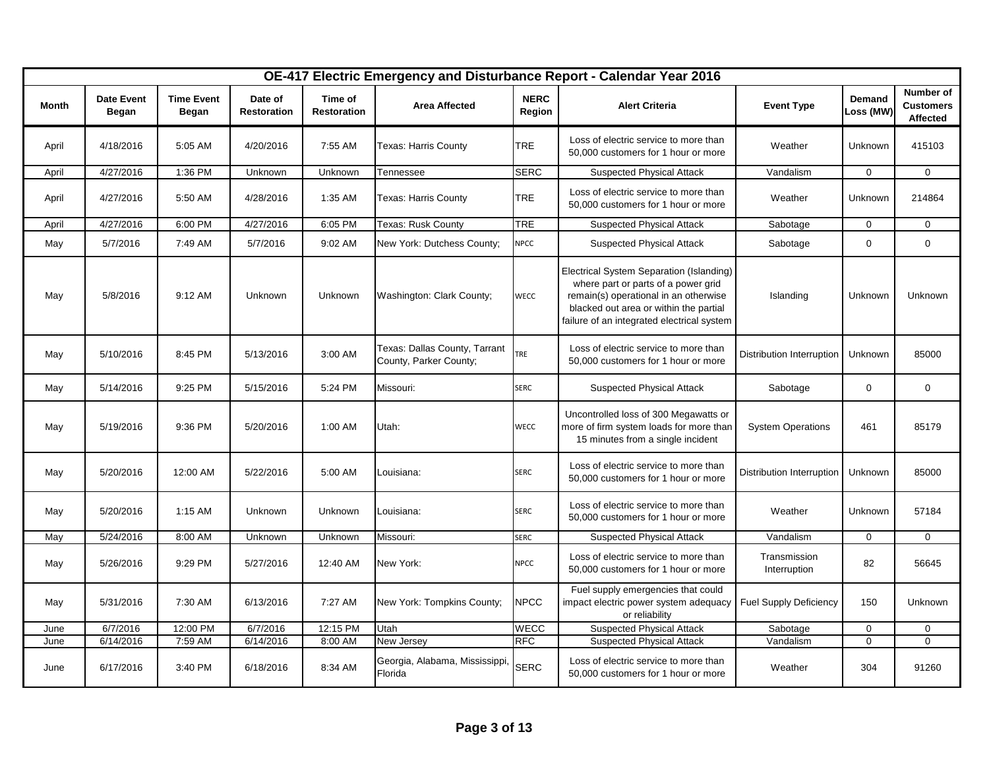|       |                            |                            |                               |                               |                                                         |                       | OE-417 Electric Emergency and Disturbance Report - Calendar Year 2016                                                                                                                                            |                               |                     |                                                  |
|-------|----------------------------|----------------------------|-------------------------------|-------------------------------|---------------------------------------------------------|-----------------------|------------------------------------------------------------------------------------------------------------------------------------------------------------------------------------------------------------------|-------------------------------|---------------------|--------------------------------------------------|
| Month | <b>Date Event</b><br>Began | <b>Time Event</b><br>Began | Date of<br><b>Restoration</b> | Time of<br><b>Restoration</b> | <b>Area Affected</b>                                    | <b>NERC</b><br>Region | <b>Alert Criteria</b>                                                                                                                                                                                            | <b>Event Type</b>             | Demand<br>Loss (MW) | Number of<br><b>Customers</b><br><b>Affected</b> |
| April | 4/18/2016                  | 5:05 AM                    | 4/20/2016                     | 7:55 AM                       | Texas: Harris County                                    | <b>TRE</b>            | Loss of electric service to more than<br>50,000 customers for 1 hour or more                                                                                                                                     | Weather                       | Unknown             | 415103                                           |
| April | 4/27/2016                  | 1:36 PM                    | Unknown                       | Unknown                       | Tennessee                                               | <b>SERC</b>           | <b>Suspected Physical Attack</b>                                                                                                                                                                                 | Vandalism                     | $\mathbf 0$         | $\mathbf 0$                                      |
| April | 4/27/2016                  | 5:50 AM                    | 4/28/2016                     | 1:35 AM                       | Texas: Harris County                                    | <b>TRE</b>            | Loss of electric service to more than<br>50,000 customers for 1 hour or more                                                                                                                                     | Weather                       | Unknown             | 214864                                           |
| April | 4/27/2016                  | 6:00 PM                    | 4/27/2016                     | 6:05 PM                       | <b>Texas: Rusk County</b>                               | <b>TRE</b>            | <b>Suspected Physical Attack</b>                                                                                                                                                                                 | Sabotage                      | $\mathbf 0$         | $\mathbf 0$                                      |
| May   | 5/7/2016                   | 7:49 AM                    | 5/7/2016                      | 9:02 AM                       | New York: Dutchess County;                              | <b>NPCC</b>           | <b>Suspected Physical Attack</b>                                                                                                                                                                                 | Sabotage                      | $\mathbf 0$         | $\mathbf 0$                                      |
| May   | 5/8/2016                   | 9:12 AM                    | Unknown                       | Unknown                       | Washington: Clark County;                               | <b>WECC</b>           | Electrical System Separation (Islanding)<br>where part or parts of a power grid<br>remain(s) operational in an otherwise<br>blacked out area or within the partial<br>failure of an integrated electrical system | Islanding                     | Unknown             | Unknown                                          |
| May   | 5/10/2016                  | 8:45 PM                    | 5/13/2016                     | 3:00 AM                       | Texas: Dallas County, Tarrant<br>County, Parker County; | TRE                   | Loss of electric service to more than<br>50,000 customers for 1 hour or more                                                                                                                                     | Distribution Interruption     | Unknown             | 85000                                            |
| May   | 5/14/2016                  | 9:25 PM                    | 5/15/2016                     | 5:24 PM                       | Missouri:                                               | <b>SERC</b>           | <b>Suspected Physical Attack</b>                                                                                                                                                                                 | Sabotage                      | $\mathbf 0$         | $\mathbf 0$                                      |
| May   | 5/19/2016                  | 9:36 PM                    | 5/20/2016                     | 1:00 AM                       | Utah:                                                   | <b>WECC</b>           | Uncontrolled loss of 300 Megawatts or<br>more of firm system loads for more than<br>15 minutes from a single incident                                                                                            | <b>System Operations</b>      | 461                 | 85179                                            |
| May   | 5/20/2016                  | 12:00 AM                   | 5/22/2016                     | 5:00 AM                       | Louisiana:                                              | <b>SERC</b>           | Loss of electric service to more than<br>50,000 customers for 1 hour or more                                                                                                                                     | Distribution Interruption     | Unknown             | 85000                                            |
| May   | 5/20/2016                  | $1:15$ AM                  | Unknown                       | Unknown                       | Louisiana:                                              | <b>SERC</b>           | Loss of electric service to more than<br>50,000 customers for 1 hour or more                                                                                                                                     | Weather                       | Unknown             | 57184                                            |
| May   | 5/24/2016                  | 8:00 AM                    | Unknown                       | Unknown                       | Missouri:                                               | <b>SERC</b>           | <b>Suspected Physical Attack</b>                                                                                                                                                                                 | Vandalism                     | $\mathbf 0$         | $\mathbf 0$                                      |
| May   | 5/26/2016                  | 9:29 PM                    | 5/27/2016                     | 12:40 AM                      | New York:                                               | <b>NPCC</b>           | Loss of electric service to more than<br>50,000 customers for 1 hour or more                                                                                                                                     | Transmission<br>Interruption  | 82                  | 56645                                            |
| May   | 5/31/2016                  | 7:30 AM                    | 6/13/2016                     | 7:27 AM                       | New York: Tompkins County;                              | <b>NPCC</b>           | Fuel supply emergencies that could<br>impact electric power system adequacy<br>or reliability                                                                                                                    | <b>Fuel Supply Deficiency</b> | 150                 | <b>Unknown</b>                                   |
| June  | 6/7/2016                   | 12:00 PM                   | 6/7/2016                      | 12:15 PM                      | Utah                                                    | <b>WECC</b>           | <b>Suspected Physical Attack</b>                                                                                                                                                                                 | Sabotage                      | $\mathbf 0$         | $\mathbf 0$                                      |
| June  | 6/14/2016                  | 7:59 AM                    | 6/14/2016                     | 8:00 AM                       | New Jersey                                              | <b>RFC</b>            | <b>Suspected Physical Attack</b>                                                                                                                                                                                 | Vandalism                     | $\Omega$            | $\Omega$                                         |
| June  | 6/17/2016                  | 3:40 PM                    | 6/18/2016                     | 8:34 AM                       | Georgia, Alabama, Mississippi<br>Florida                | <b>SERC</b>           | Loss of electric service to more than<br>50,000 customers for 1 hour or more                                                                                                                                     | Weather                       | 304                 | 91260                                            |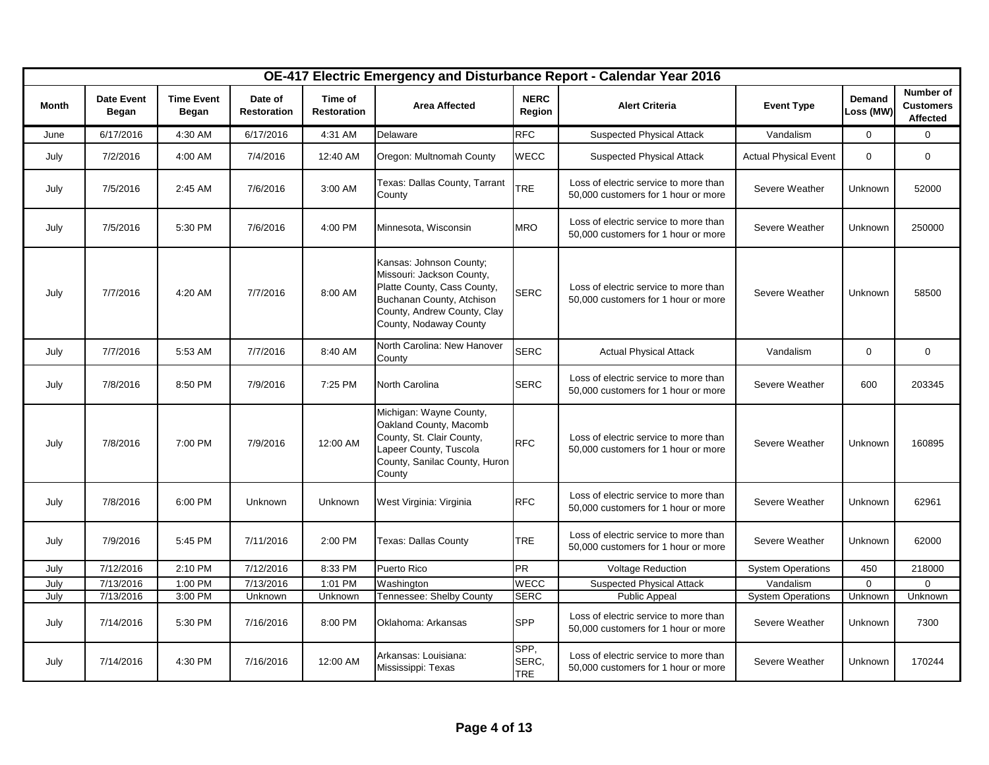|       |                                   |                                   |                               |                               |                                                                                                                                                                           |                             | OE-417 Electric Emergency and Disturbance Report - Calendar Year 2016        |                              |                     |                                           |
|-------|-----------------------------------|-----------------------------------|-------------------------------|-------------------------------|---------------------------------------------------------------------------------------------------------------------------------------------------------------------------|-----------------------------|------------------------------------------------------------------------------|------------------------------|---------------------|-------------------------------------------|
| Month | <b>Date Event</b><br><b>Began</b> | <b>Time Event</b><br><b>Began</b> | Date of<br><b>Restoration</b> | Time of<br><b>Restoration</b> | <b>Area Affected</b>                                                                                                                                                      | <b>NERC</b><br>Region       | <b>Alert Criteria</b>                                                        | <b>Event Type</b>            | Demand<br>Loss (MW) | Number of<br><b>Customers</b><br>Affected |
| June  | 6/17/2016                         | 4:30 AM                           | 6/17/2016                     | 4:31 AM                       | Delaware                                                                                                                                                                  | <b>RFC</b>                  | <b>Suspected Physical Attack</b>                                             | Vandalism                    | 0                   | 0                                         |
| July  | 7/2/2016                          | 4:00 AM                           | 7/4/2016                      | 12:40 AM                      | Oregon: Multnomah County                                                                                                                                                  | <b>WECC</b>                 | <b>Suspected Physical Attack</b>                                             | <b>Actual Physical Event</b> | $\mathbf 0$         | 0                                         |
| July  | 7/5/2016                          | 2:45 AM                           | 7/6/2016                      | 3:00 AM                       | Texas: Dallas County, Tarrant<br>County                                                                                                                                   | TRE                         | Loss of electric service to more than<br>50,000 customers for 1 hour or more | Severe Weather               | <b>Unknown</b>      | 52000                                     |
| July  | 7/5/2016                          | 5:30 PM                           | 7/6/2016                      | 4:00 PM                       | Minnesota, Wisconsin                                                                                                                                                      | <b>MRO</b>                  | Loss of electric service to more than<br>50,000 customers for 1 hour or more | Severe Weather               | Unknown             | 250000                                    |
| July  | 7/7/2016                          | 4:20 AM                           | 7/7/2016                      | 8:00 AM                       | Kansas: Johnson County;<br>Missouri: Jackson County,<br>Platte County, Cass County,<br>Buchanan County, Atchison<br>County, Andrew County, Clay<br>County, Nodaway County | <b>SERC</b>                 | Loss of electric service to more than<br>50,000 customers for 1 hour or more | Severe Weather               | Unknown             | 58500                                     |
| July  | 7/7/2016                          | 5:53 AM                           | 7/7/2016                      | 8:40 AM                       | North Carolina: New Hanover<br>County                                                                                                                                     | <b>SERC</b>                 | <b>Actual Physical Attack</b>                                                | Vandalism                    | $\mathbf 0$         | 0                                         |
| July  | 7/8/2016                          | 8:50 PM                           | 7/9/2016                      | 7:25 PM                       | North Carolina                                                                                                                                                            | <b>SERC</b>                 | Loss of electric service to more than<br>50,000 customers for 1 hour or more | Severe Weather               | 600                 | 203345                                    |
| July  | 7/8/2016                          | 7:00 PM                           | 7/9/2016                      | 12:00 AM                      | Michigan: Wayne County,<br>Oakland County, Macomb<br>County, St. Clair County,<br>Lapeer County, Tuscola<br>County, Sanilac County, Huron<br>County                       | <b>RFC</b>                  | Loss of electric service to more than<br>50,000 customers for 1 hour or more | Severe Weather               | Unknown             | 160895                                    |
| July  | 7/8/2016                          | 6:00 PM                           | <b>Unknown</b>                | Unknown                       | West Virginia: Virginia                                                                                                                                                   | <b>RFC</b>                  | Loss of electric service to more than<br>50,000 customers for 1 hour or more | Severe Weather               | Unknown             | 62961                                     |
| July  | 7/9/2016                          | 5:45 PM                           | 7/11/2016                     | 2:00 PM                       | Texas: Dallas County                                                                                                                                                      | <b>TRE</b>                  | Loss of electric service to more than<br>50,000 customers for 1 hour or more | Severe Weather               | Unknown             | 62000                                     |
| July  | 7/12/2016                         | 2:10 PM                           | 7/12/2016                     | 8:33 PM                       | Puerto Rico                                                                                                                                                               | <b>PR</b>                   | <b>Voltage Reduction</b>                                                     | <b>System Operations</b>     | 450                 | 218000                                    |
| July  | 7/13/2016                         | 1:00 PM                           | 7/13/2016                     | 1:01 PM                       | Washington                                                                                                                                                                | <b>WECC</b>                 | <b>Suspected Physical Attack</b>                                             | Vandalism                    | $\Omega$            | 0                                         |
| July  | 7/13/2016                         | 3:00 PM                           | Unknown                       | Unknown                       | Tennessee: Shelby County                                                                                                                                                  | <b>SERC</b>                 | <b>Public Appeal</b>                                                         | <b>System Operations</b>     | Unknown             | Unknown                                   |
| July  | 7/14/2016                         | 5:30 PM                           | 7/16/2016                     | 8:00 PM                       | Oklahoma: Arkansas                                                                                                                                                        | <b>SPP</b>                  | Loss of electric service to more than<br>50,000 customers for 1 hour or more | Severe Weather               | Unknown             | 7300                                      |
| July  | 7/14/2016                         | 4:30 PM                           | 7/16/2016                     | 12:00 AM                      | Arkansas: Louisiana:<br>Mississippi: Texas                                                                                                                                | SPP,<br>SERC,<br><b>TRE</b> | Loss of electric service to more than<br>50,000 customers for 1 hour or more | Severe Weather               | Unknown             | 170244                                    |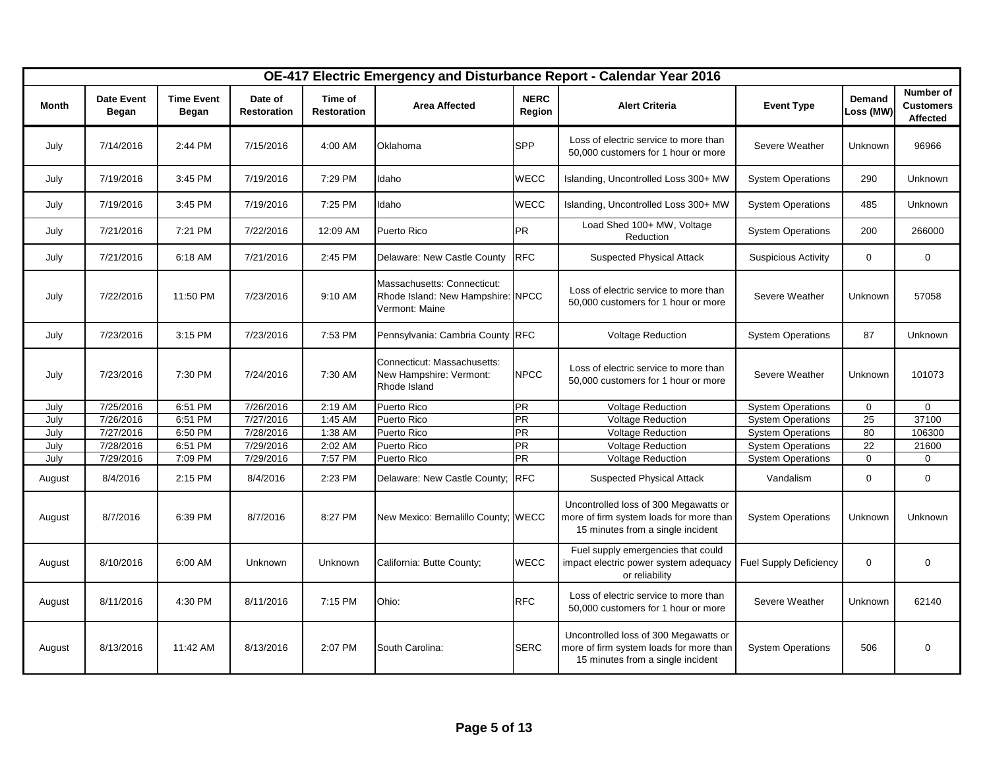|        |                            |                            |                               |                               |                                                                                    |                       | OE-417 Electric Emergency and Disturbance Report - Calendar Year 2016                                                 |                               |                            |                                           |
|--------|----------------------------|----------------------------|-------------------------------|-------------------------------|------------------------------------------------------------------------------------|-----------------------|-----------------------------------------------------------------------------------------------------------------------|-------------------------------|----------------------------|-------------------------------------------|
| Month  | <b>Date Event</b><br>Began | <b>Time Event</b><br>Began | Date of<br><b>Restoration</b> | Time of<br><b>Restoration</b> | <b>Area Affected</b>                                                               | <b>NERC</b><br>Region | <b>Alert Criteria</b>                                                                                                 | <b>Event Type</b>             | <b>Demand</b><br>Loss (MW) | Number of<br><b>Customers</b><br>Affected |
| July   | 7/14/2016                  | 2:44 PM                    | 7/15/2016                     | 4:00 AM                       | Oklahoma                                                                           | SPP                   | Loss of electric service to more than<br>50,000 customers for 1 hour or more                                          | Severe Weather                | Unknown                    | 96966                                     |
| July   | 7/19/2016                  | 3:45 PM                    | 7/19/2016                     | 7:29 PM                       | Idaho                                                                              | WECC                  | Islanding, Uncontrolled Loss 300+ MW                                                                                  | <b>System Operations</b>      | 290                        | Unknown                                   |
| July   | 7/19/2016                  | 3:45 PM                    | 7/19/2016                     | 7:25 PM                       | Idaho                                                                              | WECC                  | Islanding, Uncontrolled Loss 300+ MW                                                                                  | <b>System Operations</b>      | 485                        | <b>Unknown</b>                            |
| July   | 7/21/2016                  | 7:21 PM                    | 7/22/2016                     | 12:09 AM                      | Puerto Rico                                                                        | <b>PR</b>             | Load Shed 100+ MW, Voltage<br>Reduction                                                                               | <b>System Operations</b>      | 200                        | 266000                                    |
| July   | 7/21/2016                  | 6:18 AM                    | 7/21/2016                     | 2:45 PM                       | Delaware: New Castle County                                                        | <b>RFC</b>            | <b>Suspected Physical Attack</b>                                                                                      | <b>Suspicious Activity</b>    | $\mathbf 0$                | $\mathbf 0$                               |
| July   | 7/22/2016                  | 11:50 PM                   | 7/23/2016                     | 9:10 AM                       | Massachusetts: Connecticut:<br>Rhode Island: New Hampshire: NPCC<br>Vermont: Maine |                       | Loss of electric service to more than<br>50,000 customers for 1 hour or more                                          | Severe Weather                | Unknown                    | 57058                                     |
| July   | 7/23/2016                  | 3:15 PM                    | 7/23/2016                     | 7:53 PM                       | Pennsylvania: Cambria County RFC                                                   |                       | <b>Voltage Reduction</b>                                                                                              | <b>System Operations</b>      | 87                         | <b>Unknown</b>                            |
| July   | 7/23/2016                  | 7:30 PM                    | 7/24/2016                     | 7:30 AM                       | Connecticut: Massachusetts:<br>New Hampshire: Vermont:<br>Rhode Island             | <b>NPCC</b>           | Loss of electric service to more than<br>50,000 customers for 1 hour or more                                          | Severe Weather                | Unknown                    | 101073                                    |
| July   | 7/25/2016                  | 6:51 PM                    | 7/26/2016                     | 2:19 AM                       | Puerto Rico                                                                        | <b>PR</b>             | <b>Voltage Reduction</b>                                                                                              | <b>System Operations</b>      | $\mathbf 0$                | $\mathbf 0$                               |
| July   | 7/26/2016                  | 6:51 PM                    | 7/27/2016                     | 1:45 AM                       | Puerto Rico                                                                        | <b>PR</b>             | <b>Voltage Reduction</b>                                                                                              | <b>System Operations</b>      | 25                         | 37100                                     |
| July   | 7/27/2016                  | 6:50 PM                    | 7/28/2016                     | 1:38 AM                       | Puerto Rico                                                                        | <b>PR</b>             | <b>Voltage Reduction</b>                                                                                              | <b>System Operations</b>      | 80                         | 106300                                    |
| July   | 7/28/2016                  | 6:51 PM                    | 7/29/2016                     | 2:02 AM                       | Puerto Rico                                                                        | <b>PR</b>             | <b>Voltage Reduction</b>                                                                                              | <b>System Operations</b>      | 22                         | 21600                                     |
| July   | 7/29/2016                  | 7:09 PM                    | 7/29/2016                     | 7:57 PM                       | Puerto Rico                                                                        | PR                    | <b>Voltage Reduction</b>                                                                                              | <b>System Operations</b>      | $\mathbf 0$                | $\mathbf 0$                               |
| August | 8/4/2016                   | 2:15 PM                    | 8/4/2016                      | 2:23 PM                       | Delaware: New Castle County;                                                       | <b>RFC</b>            | <b>Suspected Physical Attack</b>                                                                                      | Vandalism                     | $\mathbf 0$                | $\mathbf 0$                               |
| August | 8/7/2016                   | 6:39 PM                    | 8/7/2016                      | 8:27 PM                       | New Mexico: Bernalillo County; WECC                                                |                       | Uncontrolled loss of 300 Megawatts or<br>more of firm system loads for more than<br>15 minutes from a single incident | <b>System Operations</b>      | Unknown                    | Unknown                                   |
| August | 8/10/2016                  | 6:00 AM                    | <b>Unknown</b>                | Unknown                       | California: Butte County;                                                          | <b>WECC</b>           | Fuel supply emergencies that could<br>impact electric power system adequacy<br>or reliability                         | <b>Fuel Supply Deficiency</b> | $\mathbf 0$                | $\boldsymbol{0}$                          |
| August | 8/11/2016                  | 4:30 PM                    | 8/11/2016                     | 7:15 PM                       | Ohio:                                                                              | <b>RFC</b>            | Loss of electric service to more than<br>50,000 customers for 1 hour or more                                          | Severe Weather                | Unknown                    | 62140                                     |
| August | 8/13/2016                  | 11:42 AM                   | 8/13/2016                     | 2:07 PM                       | South Carolina:                                                                    | <b>SERC</b>           | Uncontrolled loss of 300 Megawatts or<br>more of firm system loads for more than<br>15 minutes from a single incident | <b>System Operations</b>      | 506                        | 0                                         |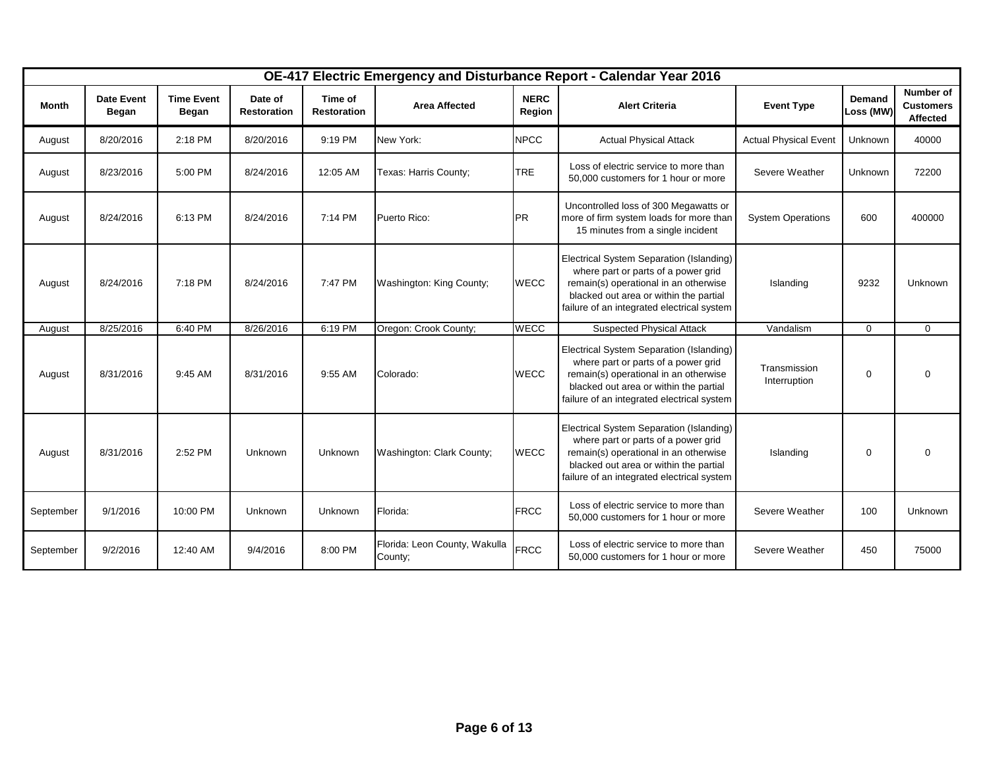|           |                            |                            |                               |                               |                                          |                       | OE-417 Electric Emergency and Disturbance Report - Calendar Year 2016                                                                                                                                            |                              |                     |                                           |
|-----------|----------------------------|----------------------------|-------------------------------|-------------------------------|------------------------------------------|-----------------------|------------------------------------------------------------------------------------------------------------------------------------------------------------------------------------------------------------------|------------------------------|---------------------|-------------------------------------------|
| Month     | <b>Date Event</b><br>Began | <b>Time Event</b><br>Began | Date of<br><b>Restoration</b> | Time of<br><b>Restoration</b> | <b>Area Affected</b>                     | <b>NERC</b><br>Region | <b>Alert Criteria</b>                                                                                                                                                                                            | <b>Event Type</b>            | Demand<br>Loss (MW) | Number of<br><b>Customers</b><br>Affected |
| August    | 8/20/2016                  | 2:18 PM                    | 8/20/2016                     | 9:19 PM                       | New York:                                | <b>NPCC</b>           | <b>Actual Physical Attack</b>                                                                                                                                                                                    | <b>Actual Physical Event</b> | Unknown             | 40000                                     |
| August    | 8/23/2016                  | 5:00 PM                    | 8/24/2016                     | 12:05 AM                      | Texas: Harris County;                    | <b>TRE</b>            | Loss of electric service to more than<br>50,000 customers for 1 hour or more                                                                                                                                     | Severe Weather               | Unknown             | 72200                                     |
| August    | 8/24/2016                  | 6:13 PM                    | 8/24/2016                     | 7:14 PM                       | Puerto Rico:                             | <b>PR</b>             | Uncontrolled loss of 300 Megawatts or<br>more of firm system loads for more than<br>15 minutes from a single incident                                                                                            | <b>System Operations</b>     | 600                 | 400000                                    |
| August    | 8/24/2016                  | 7:18 PM                    | 8/24/2016                     | 7:47 PM                       | Washington: King County;                 | <b>WECC</b>           | Electrical System Separation (Islanding)<br>where part or parts of a power grid<br>remain(s) operational in an otherwise<br>blacked out area or within the partial<br>failure of an integrated electrical system | Islanding                    | 9232                | Unknown                                   |
| August    | 8/25/2016                  | 6:40 PM                    | 8/26/2016                     | 6:19 PM                       | Oregon: Crook County;                    | <b>WECC</b>           | <b>Suspected Physical Attack</b>                                                                                                                                                                                 | Vandalism                    | $\Omega$            | $\Omega$                                  |
| August    | 8/31/2016                  | 9:45 AM                    | 8/31/2016                     | 9:55 AM                       | Colorado:                                | <b>WECC</b>           | Electrical System Separation (Islanding)<br>where part or parts of a power grid<br>remain(s) operational in an otherwise<br>blacked out area or within the partial<br>failure of an integrated electrical system | Transmission<br>Interruption | $\mathbf 0$         | $\mathbf 0$                               |
| August    | 8/31/2016                  | 2:52 PM                    | Unknown                       | Unknown                       | Washington: Clark County;                | <b>WECC</b>           | Electrical System Separation (Islanding)<br>where part or parts of a power grid<br>remain(s) operational in an otherwise<br>blacked out area or within the partial<br>failure of an integrated electrical system | Islanding                    | $\mathbf 0$         | $\mathbf 0$                               |
| September | 9/1/2016                   | 10:00 PM                   | Unknown                       | Unknown                       | Florida:                                 | <b>FRCC</b>           | Loss of electric service to more than<br>50,000 customers for 1 hour or more                                                                                                                                     | Severe Weather               | 100                 | Unknown                                   |
| September | 9/2/2016                   | 12:40 AM                   | 9/4/2016                      | 8:00 PM                       | Florida: Leon County, Wakulla<br>County: | <b>FRCC</b>           | Loss of electric service to more than<br>50,000 customers for 1 hour or more                                                                                                                                     | Severe Weather               | 450                 | 75000                                     |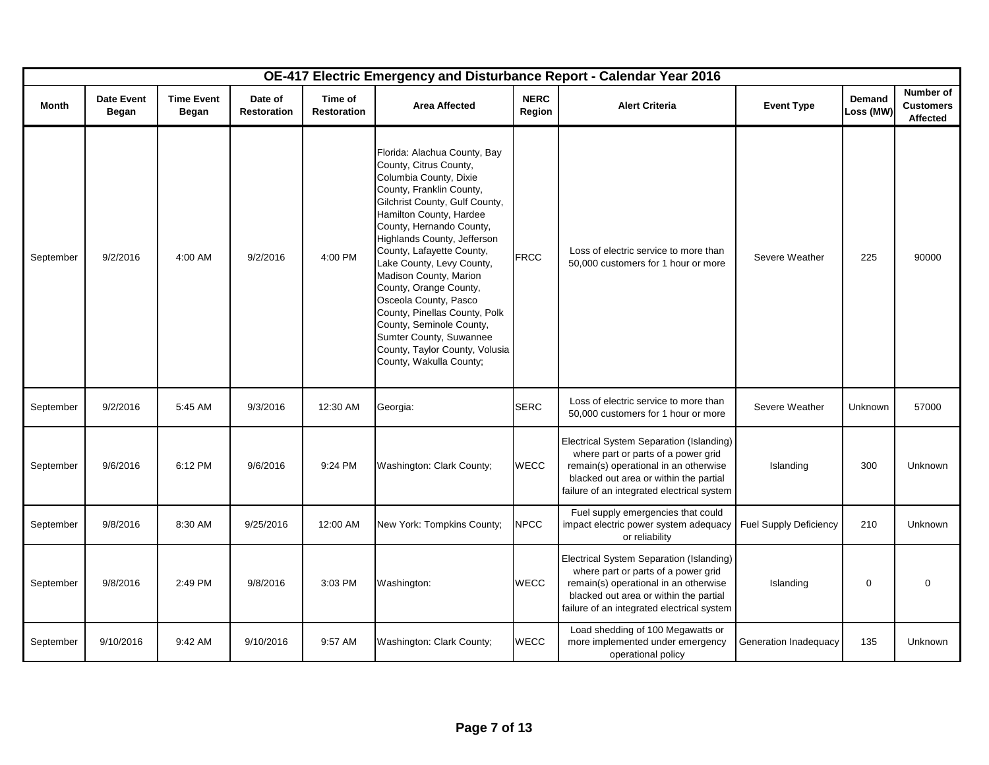|           |                                   |                            |                               |                               |                                                                                                                                                                                                                                                                                                                                                                                                                                                                                                                                  |                       | OE-417 Electric Emergency and Disturbance Report - Calendar Year 2016                                                                                                                                            |                               |                     |                                           |
|-----------|-----------------------------------|----------------------------|-------------------------------|-------------------------------|----------------------------------------------------------------------------------------------------------------------------------------------------------------------------------------------------------------------------------------------------------------------------------------------------------------------------------------------------------------------------------------------------------------------------------------------------------------------------------------------------------------------------------|-----------------------|------------------------------------------------------------------------------------------------------------------------------------------------------------------------------------------------------------------|-------------------------------|---------------------|-------------------------------------------|
| Month     | <b>Date Event</b><br><b>Began</b> | <b>Time Event</b><br>Began | Date of<br><b>Restoration</b> | Time of<br><b>Restoration</b> | <b>Area Affected</b>                                                                                                                                                                                                                                                                                                                                                                                                                                                                                                             | <b>NERC</b><br>Region | <b>Alert Criteria</b>                                                                                                                                                                                            | <b>Event Type</b>             | Demand<br>Loss (MW) | Number of<br><b>Customers</b><br>Affected |
| September | 9/2/2016                          | 4:00 AM                    | 9/2/2016                      | 4:00 PM                       | Florida: Alachua County, Bay<br>County, Citrus County,<br>Columbia County, Dixie<br>County, Franklin County,<br>Gilchrist County, Gulf County,<br>Hamilton County, Hardee<br>County, Hernando County,<br>Highlands County, Jefferson<br>County, Lafayette County,<br>Lake County, Levy County,<br>Madison County, Marion<br>County, Orange County,<br>Osceola County, Pasco<br>County, Pinellas County, Polk<br>County, Seminole County,<br>Sumter County, Suwannee<br>County, Taylor County, Volusia<br>County, Wakulla County; | <b>FRCC</b>           | Loss of electric service to more than<br>50,000 customers for 1 hour or more                                                                                                                                     | Severe Weather                | 225                 | 90000                                     |
| September | 9/2/2016                          | 5:45 AM                    | 9/3/2016                      | 12:30 AM                      | Georgia:                                                                                                                                                                                                                                                                                                                                                                                                                                                                                                                         | <b>SERC</b>           | Loss of electric service to more than<br>50,000 customers for 1 hour or more                                                                                                                                     | Severe Weather                | Unknown             | 57000                                     |
| September | 9/6/2016                          | 6:12 PM                    | 9/6/2016                      | 9:24 PM                       | Washington: Clark County;                                                                                                                                                                                                                                                                                                                                                                                                                                                                                                        | <b>WECC</b>           | Electrical System Separation (Islanding)<br>where part or parts of a power grid<br>remain(s) operational in an otherwise<br>blacked out area or within the partial<br>failure of an integrated electrical system | Islanding                     | 300                 | Unknown                                   |
| September | 9/8/2016                          | 8:30 AM                    | 9/25/2016                     | 12:00 AM                      | New York: Tompkins County;                                                                                                                                                                                                                                                                                                                                                                                                                                                                                                       | <b>NPCC</b>           | Fuel supply emergencies that could<br>impact electric power system adequacy<br>or reliability                                                                                                                    | <b>Fuel Supply Deficiency</b> | 210                 | <b>Unknown</b>                            |
| September | 9/8/2016                          | 2:49 PM                    | 9/8/2016                      | 3:03 PM                       | Washington:                                                                                                                                                                                                                                                                                                                                                                                                                                                                                                                      | WECC                  | Electrical System Separation (Islanding)<br>where part or parts of a power grid<br>remain(s) operational in an otherwise<br>blacked out area or within the partial<br>failure of an integrated electrical system | Islanding                     | 0                   | $\mathbf 0$                               |
| September | 9/10/2016                         | 9:42 AM                    | 9/10/2016                     | 9:57 AM                       | Washington: Clark County;                                                                                                                                                                                                                                                                                                                                                                                                                                                                                                        | <b>WECC</b>           | Load shedding of 100 Megawatts or<br>more implemented under emergency<br>operational policy                                                                                                                      | Generation Inadequacy         | 135                 | Unknown                                   |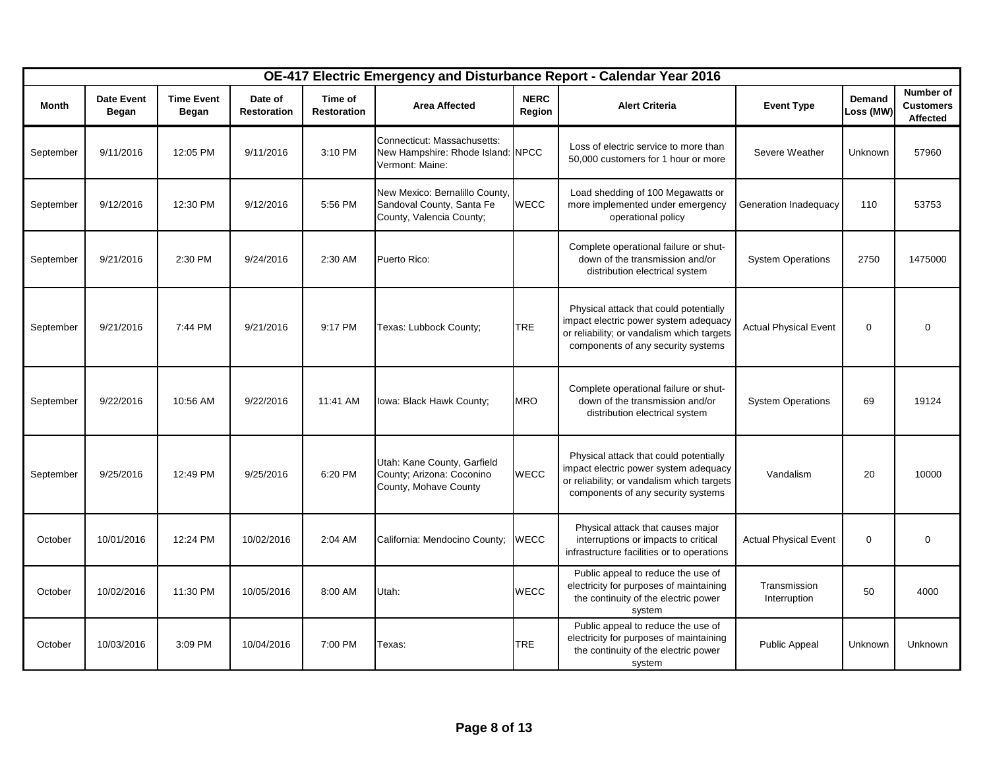|              | OE-417 Electric Emergency and Disturbance Report - Calendar Year 2016 |                            |                               |                               |                                                                                         |                       |                                                                                                                                                                     |                              |                     |                                           |
|--------------|-----------------------------------------------------------------------|----------------------------|-------------------------------|-------------------------------|-----------------------------------------------------------------------------------------|-----------------------|---------------------------------------------------------------------------------------------------------------------------------------------------------------------|------------------------------|---------------------|-------------------------------------------|
| <b>Month</b> | <b>Date Event</b><br>Began                                            | <b>Time Event</b><br>Began | Date of<br><b>Restoration</b> | Time of<br><b>Restoration</b> | <b>Area Affected</b>                                                                    | <b>NERC</b><br>Region | <b>Alert Criteria</b>                                                                                                                                               | <b>Event Type</b>            | Demand<br>Loss (MW) | Number of<br><b>Customers</b><br>Affected |
| September    | 9/11/2016                                                             | 12:05 PM                   | 9/11/2016                     | 3:10 PM                       | Connecticut: Massachusetts:<br>New Hampshire: Rhode Island: NPCC<br>Vermont: Maine:     |                       | Loss of electric service to more than<br>50,000 customers for 1 hour or more                                                                                        | Severe Weather               | Unknown             | 57960                                     |
| September    | 9/12/2016                                                             | 12:30 PM                   | 9/12/2016                     | 5:56 PM                       | New Mexico: Bernalillo County,<br>Sandoval County, Santa Fe<br>County, Valencia County; | <b>WECC</b>           | Load shedding of 100 Megawatts or<br>more implemented under emergency<br>operational policy                                                                         | Generation Inadequacy        | 110                 | 53753                                     |
| September    | 9/21/2016                                                             | 2:30 PM                    | 9/24/2016                     | 2:30 AM                       | Puerto Rico:                                                                            |                       | Complete operational failure or shut-<br>down of the transmission and/or<br>distribution electrical system                                                          | <b>System Operations</b>     | 2750                | 1475000                                   |
| September    | 9/21/2016                                                             | 7:44 PM                    | 9/21/2016                     | 9:17 PM                       | Texas: Lubbock County;                                                                  | <b>TRE</b>            | Physical attack that could potentially<br>impact electric power system adequacy<br>or reliability; or vandalism which targets<br>components of any security systems | <b>Actual Physical Event</b> | $\mathbf 0$         | $\Omega$                                  |
| September    | 9/22/2016                                                             | 10:56 AM                   | 9/22/2016                     | 11:41 AM                      | Iowa: Black Hawk County;                                                                | <b>MRO</b>            | Complete operational failure or shut-<br>down of the transmission and/or<br>distribution electrical system                                                          | <b>System Operations</b>     | 69                  | 19124                                     |
| September    | 9/25/2016                                                             | 12:49 PM                   | 9/25/2016                     | 6:20 PM                       | Utah: Kane County, Garfield<br>County; Arizona: Coconino<br>County, Mohave County       | <b>WECC</b>           | Physical attack that could potentially<br>impact electric power system adequacy<br>or reliability; or vandalism which targets<br>components of any security systems | Vandalism                    | 20                  | 10000                                     |
| October      | 10/01/2016                                                            | 12:24 PM                   | 10/02/2016                    | 2:04 AM                       | California: Mendocino County;                                                           | <b>WECC</b>           | Physical attack that causes major<br>interruptions or impacts to critical<br>infrastructure facilities or to operations                                             | <b>Actual Physical Event</b> | $\mathbf 0$         | $\Omega$                                  |
| October      | 10/02/2016                                                            | 11:30 PM                   | 10/05/2016                    | 8:00 AM                       | Utah:                                                                                   | <b>WECC</b>           | Public appeal to reduce the use of<br>electricity for purposes of maintaining<br>the continuity of the electric power<br>system                                     | Transmission<br>Interruption | 50                  | 4000                                      |
| October      | 10/03/2016                                                            | 3:09 PM                    | 10/04/2016                    | 7:00 PM                       | Texas:                                                                                  | <b>TRE</b>            | Public appeal to reduce the use of<br>electricity for purposes of maintaining<br>the continuity of the electric power<br>system                                     | Public Appeal                | Unknown             | Unknown                                   |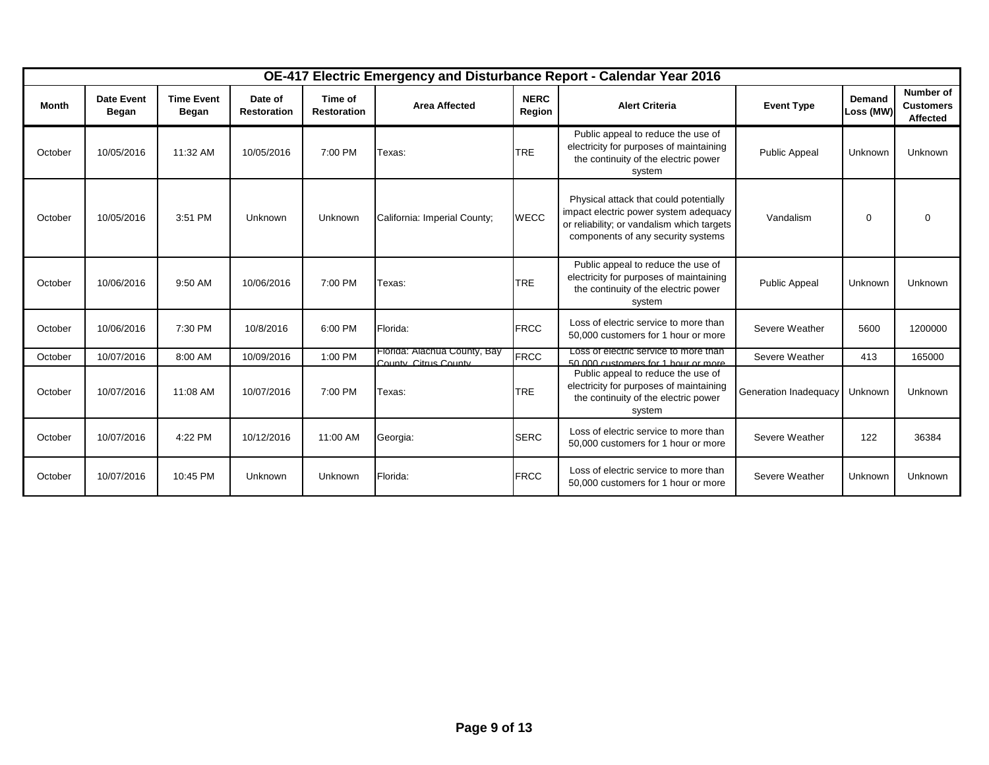|         |                            |                            |                               |                               |                                                       |                       | OE-417 Electric Emergency and Disturbance Report - Calendar Year 2016                                                                                               |                       |                            |                                                  |
|---------|----------------------------|----------------------------|-------------------------------|-------------------------------|-------------------------------------------------------|-----------------------|---------------------------------------------------------------------------------------------------------------------------------------------------------------------|-----------------------|----------------------------|--------------------------------------------------|
| Month   | <b>Date Event</b><br>Began | <b>Time Event</b><br>Began | Date of<br><b>Restoration</b> | Time of<br><b>Restoration</b> | <b>Area Affected</b>                                  | <b>NERC</b><br>Region | <b>Alert Criteria</b>                                                                                                                                               | <b>Event Type</b>     | <b>Demand</b><br>Loss (MW) | Number of<br><b>Customers</b><br><b>Affected</b> |
| October | 10/05/2016                 | 11:32 AM                   | 10/05/2016                    | 7:00 PM                       | Texas:                                                | <b>TRE</b>            | Public appeal to reduce the use of<br>electricity for purposes of maintaining<br>the continuity of the electric power<br>system                                     | <b>Public Appeal</b>  | Unknown                    | Unknown                                          |
| October | 10/05/2016                 | 3:51 PM                    | Unknown                       | Unknown                       | California: Imperial County;                          | <b>WECC</b>           | Physical attack that could potentially<br>impact electric power system adequacy<br>or reliability; or vandalism which targets<br>components of any security systems | Vandalism             | $\mathbf 0$                | $\Omega$                                         |
| October | 10/06/2016                 | 9:50 AM                    | 10/06/2016                    | 7:00 PM                       | Texas:                                                | <b>TRE</b>            | Public appeal to reduce the use of<br>electricity for purposes of maintaining<br>the continuity of the electric power<br>system                                     | <b>Public Appeal</b>  | Unknown                    | Unknown                                          |
| October | 10/06/2016                 | 7:30 PM                    | 10/8/2016                     | 6:00 PM                       | Florida:                                              | <b>FRCC</b>           | Loss of electric service to more than<br>50,000 customers for 1 hour or more                                                                                        | Severe Weather        | 5600                       | 1200000                                          |
| October | 10/07/2016                 | 8:00 AM                    | 10/09/2016                    | 1:00 PM                       | Florida: Alachua County, Bay<br>County, Citrus County | <b>FRCC</b>           | Loss of electric service to more than<br>50,000 customers for 1 hour or more                                                                                        | Severe Weather        | 413                        | 165000                                           |
| October | 10/07/2016                 | 11:08 AM                   | 10/07/2016                    | 7:00 PM                       | Texas:                                                | <b>TRE</b>            | Public appeal to reduce the use of<br>electricity for purposes of maintaining<br>the continuity of the electric power<br>system                                     | Generation Inadequacy | Unknown                    | Unknown                                          |
| October | 10/07/2016                 | 4:22 PM                    | 10/12/2016                    | 11:00 AM                      | Georgia:                                              | <b>SERC</b>           | Loss of electric service to more than<br>50,000 customers for 1 hour or more                                                                                        | Severe Weather        | 122                        | 36384                                            |
| October | 10/07/2016                 | 10:45 PM                   | Unknown                       | Unknown                       | Florida:                                              | <b>FRCC</b>           | Loss of electric service to more than<br>50,000 customers for 1 hour or more                                                                                        | Severe Weather        | Unknown                    | Unknown                                          |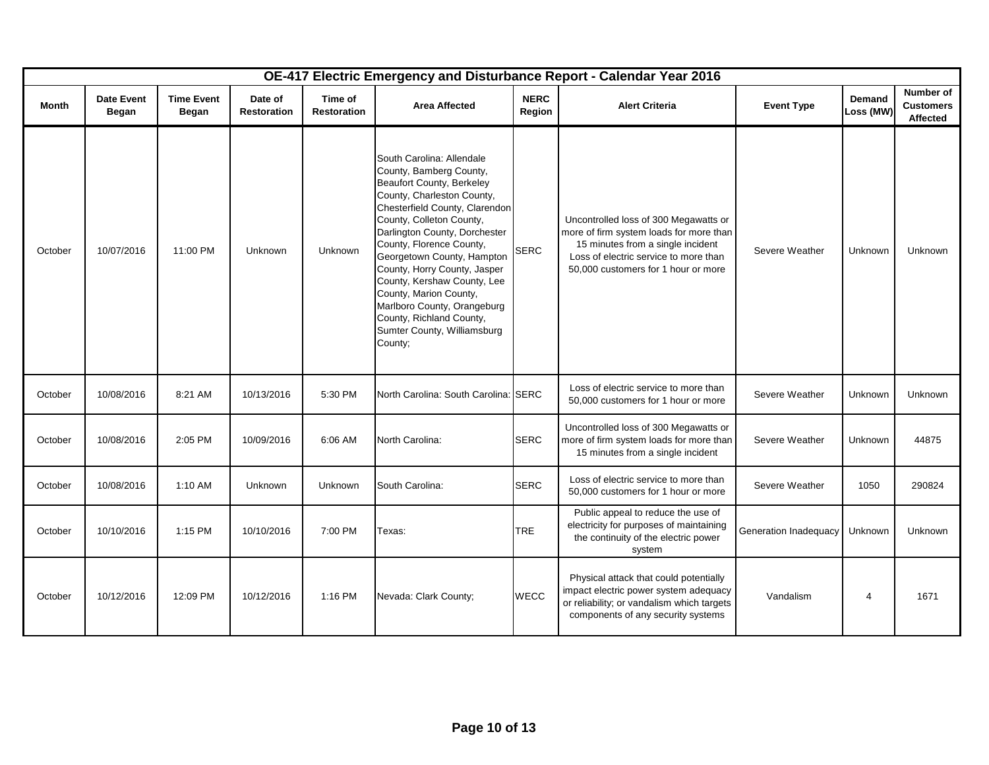|              |                                   |                                   |                               |                               |                                                                                                                                                                                                                                                                                                                                                                                                                                                                        |                       | OE-417 Electric Emergency and Disturbance Report - Calendar Year 2016                                                                                                                                 |                       |                            |                                           |
|--------------|-----------------------------------|-----------------------------------|-------------------------------|-------------------------------|------------------------------------------------------------------------------------------------------------------------------------------------------------------------------------------------------------------------------------------------------------------------------------------------------------------------------------------------------------------------------------------------------------------------------------------------------------------------|-----------------------|-------------------------------------------------------------------------------------------------------------------------------------------------------------------------------------------------------|-----------------------|----------------------------|-------------------------------------------|
| <b>Month</b> | <b>Date Event</b><br><b>Began</b> | <b>Time Event</b><br><b>Began</b> | Date of<br><b>Restoration</b> | Time of<br><b>Restoration</b> | <b>Area Affected</b>                                                                                                                                                                                                                                                                                                                                                                                                                                                   | <b>NERC</b><br>Region | <b>Alert Criteria</b>                                                                                                                                                                                 | <b>Event Type</b>     | <b>Demand</b><br>Loss (MW) | Number of<br><b>Customers</b><br>Affected |
| October      | 10/07/2016                        | 11:00 PM                          | Unknown                       | Unknown                       | South Carolina: Allendale<br>County, Bamberg County,<br>Beaufort County, Berkeley<br>County, Charleston County,<br>Chesterfield County, Clarendon<br>County, Colleton County,<br>Darlington County, Dorchester<br>County, Florence County,<br>Georgetown County, Hampton<br>County, Horry County, Jasper<br>County, Kershaw County, Lee<br>County, Marion County,<br>Marlboro County, Orangeburg<br>County, Richland County,<br>Sumter County, Williamsburg<br>County: | <b>SERC</b>           | Uncontrolled loss of 300 Megawatts or<br>more of firm system loads for more than<br>15 minutes from a single incident<br>Loss of electric service to more than<br>50,000 customers for 1 hour or more | Severe Weather        | Unknown                    | <b>Unknown</b>                            |
| October      | 10/08/2016                        | 8:21 AM                           | 10/13/2016                    | 5:30 PM                       | North Carolina: South Carolina: SERC                                                                                                                                                                                                                                                                                                                                                                                                                                   |                       | Loss of electric service to more than<br>50,000 customers for 1 hour or more                                                                                                                          | Severe Weather        | Unknown                    | <b>Unknown</b>                            |
| October      | 10/08/2016                        | 2:05 PM                           | 10/09/2016                    | 6:06 AM                       | North Carolina:                                                                                                                                                                                                                                                                                                                                                                                                                                                        | <b>SERC</b>           | Uncontrolled loss of 300 Megawatts or<br>more of firm system loads for more than<br>15 minutes from a single incident                                                                                 | Severe Weather        | Unknown                    | 44875                                     |
| October      | 10/08/2016                        | 1:10 AM                           | Unknown                       | <b>Unknown</b>                | South Carolina:                                                                                                                                                                                                                                                                                                                                                                                                                                                        | <b>SERC</b>           | Loss of electric service to more than<br>50,000 customers for 1 hour or more                                                                                                                          | Severe Weather        | 1050                       | 290824                                    |
| October      | 10/10/2016                        | 1:15 PM                           | 10/10/2016                    | 7:00 PM                       | Texas:                                                                                                                                                                                                                                                                                                                                                                                                                                                                 | <b>TRE</b>            | Public appeal to reduce the use of<br>electricity for purposes of maintaining<br>the continuity of the electric power<br>system                                                                       | Generation Inadequacy | Unknown                    | <b>Unknown</b>                            |
| October      | 10/12/2016                        | 12:09 PM                          | 10/12/2016                    | 1:16 PM                       | Nevada: Clark County;                                                                                                                                                                                                                                                                                                                                                                                                                                                  | <b>WECC</b>           | Physical attack that could potentially<br>impact electric power system adequacy<br>or reliability; or vandalism which targets<br>components of any security systems                                   | Vandalism             | 4                          | 1671                                      |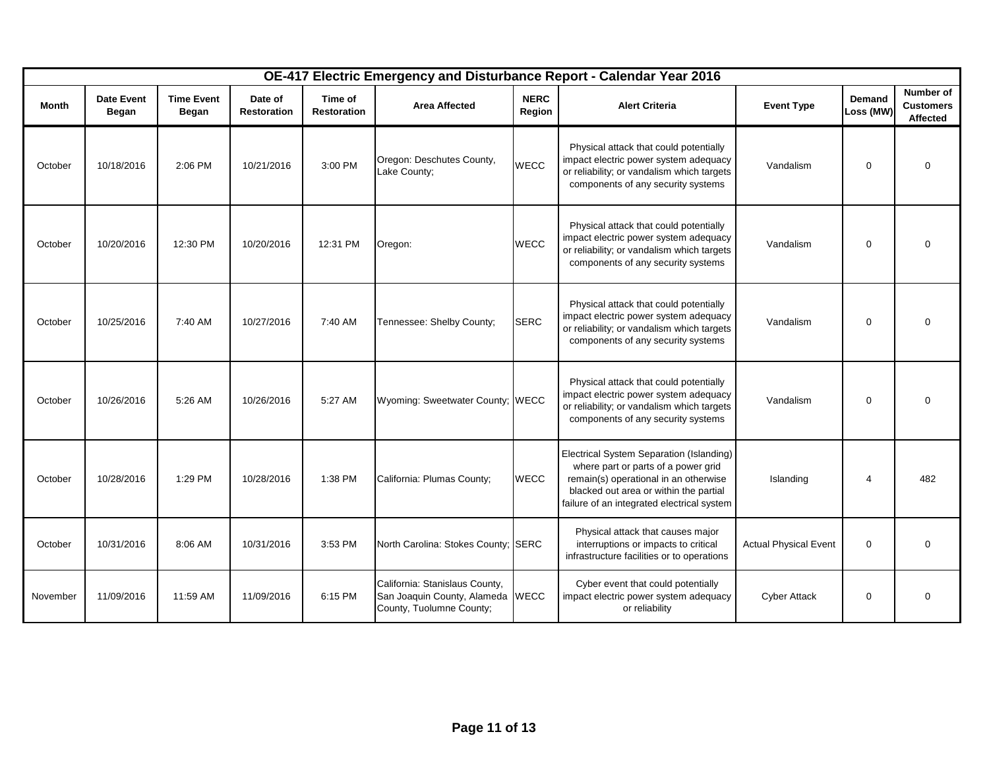|          |                            |                            |                               |                               |                                                                                                |                       | OE-417 Electric Emergency and Disturbance Report - Calendar Year 2016                                                                                                                                            |                              |                            |                                           |
|----------|----------------------------|----------------------------|-------------------------------|-------------------------------|------------------------------------------------------------------------------------------------|-----------------------|------------------------------------------------------------------------------------------------------------------------------------------------------------------------------------------------------------------|------------------------------|----------------------------|-------------------------------------------|
| Month    | <b>Date Event</b><br>Began | <b>Time Event</b><br>Began | Date of<br><b>Restoration</b> | Time of<br><b>Restoration</b> | <b>Area Affected</b>                                                                           | <b>NERC</b><br>Region | <b>Alert Criteria</b>                                                                                                                                                                                            | <b>Event Type</b>            | <b>Demand</b><br>Loss (MW) | Number of<br><b>Customers</b><br>Affected |
| October  | 10/18/2016                 | $2:06$ PM                  | 10/21/2016                    | 3:00 PM                       | Oregon: Deschutes County,<br>Lake County;                                                      | <b>WECC</b>           | Physical attack that could potentially<br>impact electric power system adequacy<br>or reliability; or vandalism which targets<br>components of any security systems                                              | Vandalism                    | $\mathbf 0$                | $\Omega$                                  |
| October  | 10/20/2016                 | 12:30 PM                   | 10/20/2016                    | 12:31 PM                      | Oregon:                                                                                        | <b>WECC</b>           | Physical attack that could potentially<br>impact electric power system adequacy<br>or reliability; or vandalism which targets<br>components of any security systems                                              | Vandalism                    | $\mathbf 0$                |                                           |
| October  | 10/25/2016                 | 7:40 AM                    | 10/27/2016                    | 7:40 AM                       | Tennessee: Shelby County;                                                                      | <b>SERC</b>           | Physical attack that could potentially<br>impact electric power system adequacy<br>or reliability; or vandalism which targets<br>components of any security systems                                              | Vandalism                    | $\mathbf 0$                | $\Omega$                                  |
| October  | 10/26/2016                 | 5:26 AM                    | 10/26/2016                    | 5:27 AM                       | Wyoming: Sweetwater County; WECC                                                               |                       | Physical attack that could potentially<br>impact electric power system adequacy<br>or reliability; or vandalism which targets<br>components of any security systems                                              | Vandalism                    | $\mathbf 0$                |                                           |
| October  | 10/28/2016                 | 1:29 PM                    | 10/28/2016                    | 1:38 PM                       | California: Plumas County;                                                                     | <b>WECC</b>           | Electrical System Separation (Islanding)<br>where part or parts of a power grid<br>remain(s) operational in an otherwise<br>blacked out area or within the partial<br>failure of an integrated electrical system | Islanding                    | $\overline{4}$             | 482                                       |
| October  | 10/31/2016                 | 8:06 AM                    | 10/31/2016                    | 3:53 PM                       | North Carolina: Stokes County; SERC                                                            |                       | Physical attack that causes major<br>interruptions or impacts to critical<br>infrastructure facilities or to operations                                                                                          | <b>Actual Physical Event</b> | $\mathbf 0$                | $\Omega$                                  |
| November | 11/09/2016                 | 11:59 AM                   | 11/09/2016                    | 6:15 PM                       | California: Stanislaus County,<br>San Joaquin County, Alameda WECC<br>County, Tuolumne County; |                       | Cyber event that could potentially<br>impact electric power system adequacy<br>or reliability                                                                                                                    | <b>Cyber Attack</b>          | $\mathbf 0$                | $\Omega$                                  |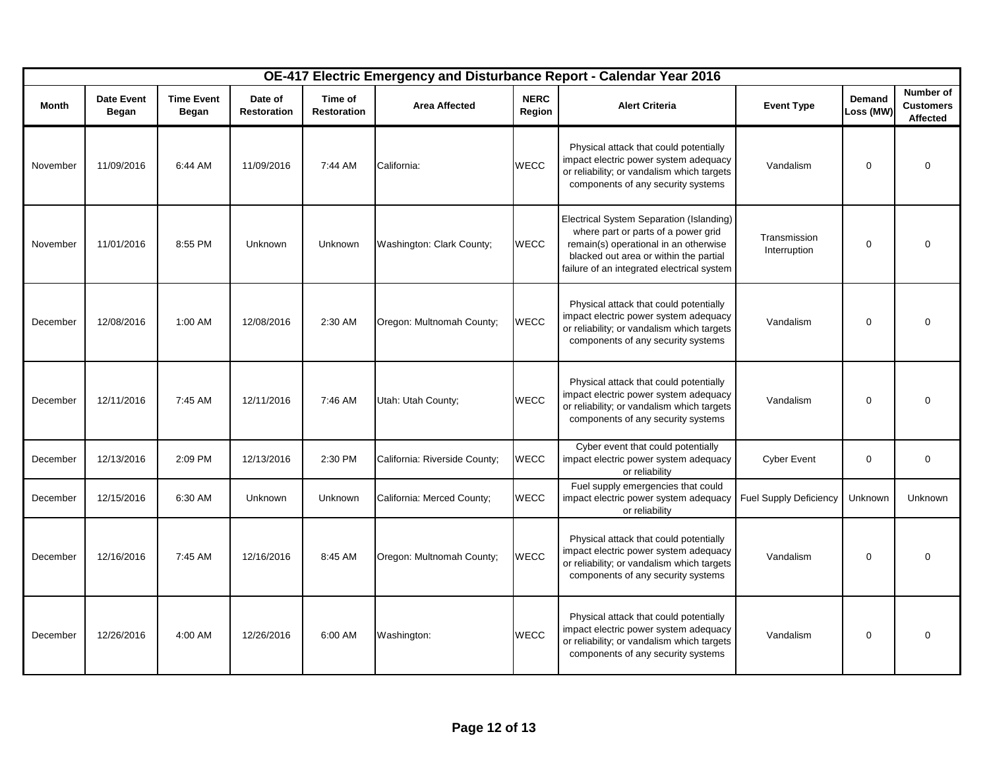|          | OE-417 Electric Emergency and Disturbance Report - Calendar Year 2016<br>Number of |                                   |                               |                               |                               |                       |                                                                                                                                                                                                                  |                               |                     |                              |
|----------|------------------------------------------------------------------------------------|-----------------------------------|-------------------------------|-------------------------------|-------------------------------|-----------------------|------------------------------------------------------------------------------------------------------------------------------------------------------------------------------------------------------------------|-------------------------------|---------------------|------------------------------|
| Month    | <b>Date Event</b><br><b>Began</b>                                                  | <b>Time Event</b><br><b>Began</b> | Date of<br><b>Restoration</b> | Time of<br><b>Restoration</b> | <b>Area Affected</b>          | <b>NERC</b><br>Region | <b>Alert Criteria</b>                                                                                                                                                                                            | <b>Event Type</b>             | Demand<br>Loss (MW) | <b>Customers</b><br>Affected |
| November | 11/09/2016                                                                         | 6:44 AM                           | 11/09/2016                    | 7:44 AM                       | California:                   | <b>WECC</b>           | Physical attack that could potentially<br>impact electric power system adequacy<br>or reliability; or vandalism which targets<br>components of any security systems                                              | Vandalism                     | 0                   | 0                            |
| November | 11/01/2016                                                                         | 8:55 PM                           | Unknown                       | Unknown                       | Washington: Clark County;     | <b>WECC</b>           | Electrical System Separation (Islanding)<br>where part or parts of a power grid<br>remain(s) operational in an otherwise<br>blacked out area or within the partial<br>failure of an integrated electrical system | Transmission<br>Interruption  | 0                   | $\Omega$                     |
| December | 12/08/2016                                                                         | 1:00 AM                           | 12/08/2016                    | 2:30 AM                       | Oregon: Multnomah County;     | <b>WECC</b>           | Physical attack that could potentially<br>impact electric power system adequacy<br>or reliability; or vandalism which targets<br>components of any security systems                                              | Vandalism                     | 0                   | $\Omega$                     |
| December | 12/11/2016                                                                         | 7:45 AM                           | 12/11/2016                    | 7:46 AM                       | Utah: Utah County;            | WECC                  | Physical attack that could potentially<br>impact electric power system adequacy<br>or reliability; or vandalism which targets<br>components of any security systems                                              | Vandalism                     | $\mathbf 0$         | $\Omega$                     |
| December | 12/13/2016                                                                         | 2:09 PM                           | 12/13/2016                    | 2:30 PM                       | California: Riverside County; | WECC                  | Cyber event that could potentially<br>impact electric power system adequacy<br>or reliability                                                                                                                    | <b>Cyber Event</b>            | $\mathbf 0$         | $\mathbf 0$                  |
| December | 12/15/2016                                                                         | 6:30 AM                           | Unknown                       | Unknown                       | California: Merced County;    | WECC                  | Fuel supply emergencies that could<br>impact electric power system adequacy<br>or reliability                                                                                                                    | <b>Fuel Supply Deficiency</b> | Unknown             | Unknown                      |
| December | 12/16/2016                                                                         | 7:45 AM                           | 12/16/2016                    | 8:45 AM                       | Oregon: Multnomah County;     | WECC                  | Physical attack that could potentially<br>impact electric power system adequacy<br>or reliability; or vandalism which targets<br>components of any security systems                                              | Vandalism                     | $\mathbf 0$         | $\Omega$                     |
| December | 12/26/2016                                                                         | 4:00 AM                           | 12/26/2016                    | 6:00 AM                       | Washington:                   | <b>WECC</b>           | Physical attack that could potentially<br>impact electric power system adequacy<br>or reliability; or vandalism which targets<br>components of any security systems                                              | Vandalism                     | $\mathbf 0$         | $\mathbf 0$                  |